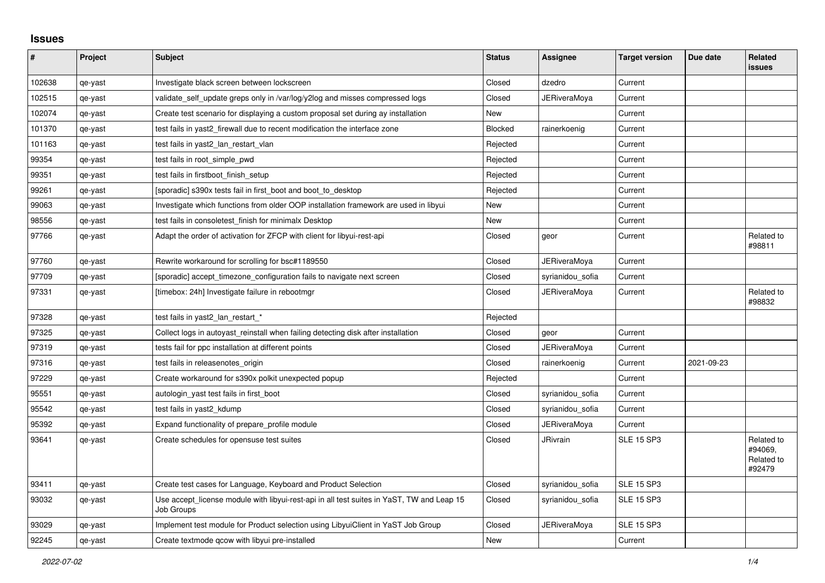## **Issues**

| #      | Project | <b>Subject</b>                                                                                          | <b>Status</b> | Assignee            | <b>Target version</b> | Due date   | Related<br><b>issues</b>                      |
|--------|---------|---------------------------------------------------------------------------------------------------------|---------------|---------------------|-----------------------|------------|-----------------------------------------------|
| 102638 | qe-yast | Investigate black screen between lockscreen                                                             | Closed        | dzedro              | Current               |            |                                               |
| 102515 | qe-yast | validate_self_update greps only in /var/log/y2log and misses compressed logs                            | Closed        | JERiveraMoya        | Current               |            |                                               |
| 102074 | qe-yast | Create test scenario for displaying a custom proposal set during ay installation                        | <b>New</b>    |                     | Current               |            |                                               |
| 101370 | qe-yast | test fails in yast2 firewall due to recent modification the interface zone                              | Blocked       | rainerkoenig        | Current               |            |                                               |
| 101163 | qe-yast | test fails in yast2_lan_restart_vlan                                                                    | Rejected      |                     | Current               |            |                                               |
| 99354  | qe-yast | test fails in root simple pwd                                                                           | Rejected      |                     | Current               |            |                                               |
| 99351  | qe-yast | test fails in firstboot_finish_setup                                                                    | Rejected      |                     | Current               |            |                                               |
| 99261  | qe-yast | [sporadic] s390x tests fail in first_boot and boot_to_desktop                                           | Rejected      |                     | Current               |            |                                               |
| 99063  | qe-yast | Investigate which functions from older OOP installation framework are used in libyui                    | <b>New</b>    |                     | Current               |            |                                               |
| 98556  | qe-yast | test fails in consoletest finish for minimalx Desktop                                                   | New           |                     | Current               |            |                                               |
| 97766  | qe-yast | Adapt the order of activation for ZFCP with client for libyui-rest-api                                  | Closed        | geor                | Current               |            | Related to<br>#98811                          |
| 97760  | qe-yast | Rewrite workaround for scrolling for bsc#1189550                                                        | Closed        | <b>JERiveraMoya</b> | Current               |            |                                               |
| 97709  | qe-yast | [sporadic] accept timezone configuration fails to navigate next screen                                  | Closed        | syrianidou_sofia    | Current               |            |                                               |
| 97331  | qe-yast | [timebox: 24h] Investigate failure in rebootmgr                                                         | Closed        | JERiveraMoya        | Current               |            | Related to<br>#98832                          |
| 97328  | qe-yast | test fails in yast2_lan_restart_*                                                                       | Rejected      |                     |                       |            |                                               |
| 97325  | qe-yast | Collect logs in autoyast reinstall when failing detecting disk after installation                       | Closed        | geor                | Current               |            |                                               |
| 97319  | qe-yast | tests fail for ppc installation at different points                                                     | Closed        | <b>JERiveraMoya</b> | Current               |            |                                               |
| 97316  | qe-yast | test fails in releasenotes_origin                                                                       | Closed        | rainerkoenig        | Current               | 2021-09-23 |                                               |
| 97229  | qe-yast | Create workaround for s390x polkit unexpected popup                                                     | Rejected      |                     | Current               |            |                                               |
| 95551  | qe-yast | autologin_yast test fails in first_boot                                                                 | Closed        | syrianidou sofia    | Current               |            |                                               |
| 95542  | qe-yast | test fails in yast2_kdump                                                                               | Closed        | syrianidou_sofia    | Current               |            |                                               |
| 95392  | qe-yast | Expand functionality of prepare profile module                                                          | Closed        | <b>JERiveraMova</b> | Current               |            |                                               |
| 93641  | qe-yast | Create schedules for opensuse test suites                                                               | Closed        | <b>JRivrain</b>     | <b>SLE 15 SP3</b>     |            | Related to<br>#94069.<br>Related to<br>#92479 |
| 93411  | qe-yast | Create test cases for Language, Keyboard and Product Selection                                          | Closed        | syrianidou_sofia    | <b>SLE 15 SP3</b>     |            |                                               |
| 93032  | qe-yast | Use accept_license module with libyui-rest-api in all test suites in YaST, TW and Leap 15<br>Job Groups | Closed        | syrianidou_sofia    | <b>SLE 15 SP3</b>     |            |                                               |
| 93029  | qe-yast | Implement test module for Product selection using LibyuiClient in YaST Job Group                        | Closed        | JERiveraMoya        | <b>SLE 15 SP3</b>     |            |                                               |
| 92245  | qe-yast | Create textmode gcow with libyui pre-installed                                                          | New           |                     | Current               |            |                                               |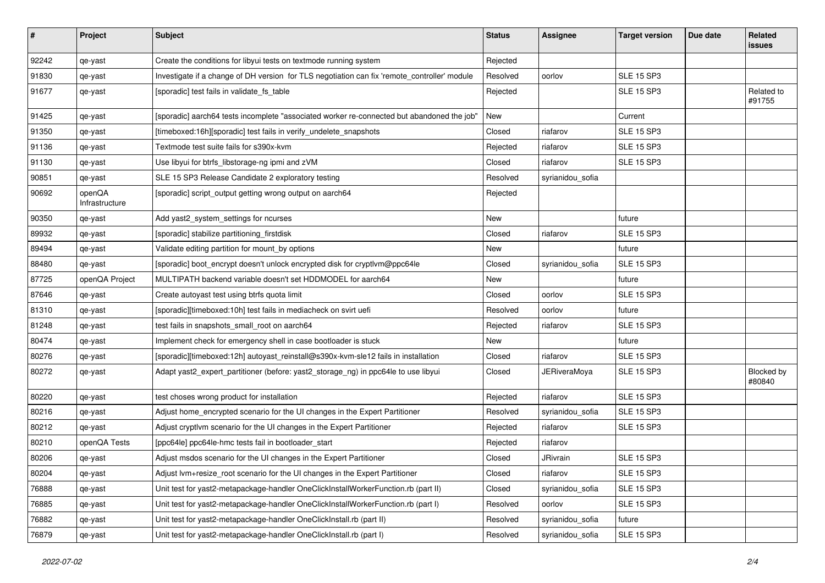| $\vert$ # | Project                  | <b>Subject</b>                                                                               | <b>Status</b> | <b>Assignee</b>     | <b>Target version</b> | Due date | Related<br><b>issues</b> |
|-----------|--------------------------|----------------------------------------------------------------------------------------------|---------------|---------------------|-----------------------|----------|--------------------------|
| 92242     | qe-yast                  | Create the conditions for libyui tests on textmode running system                            | Rejected      |                     |                       |          |                          |
| 91830     | qe-yast                  | Investigate if a change of DH version for TLS negotiation can fix 'remote_controller' module | Resolved      | oorlov              | <b>SLE 15 SP3</b>     |          |                          |
| 91677     | qe-yast                  | [sporadic] test fails in validate_fs_table                                                   | Rejected      |                     | <b>SLE 15 SP3</b>     |          | Related to<br>#91755     |
| 91425     | qe-yast                  | [sporadic] aarch64 tests incomplete "associated worker re-connected but abandoned the job"   | New           |                     | Current               |          |                          |
| 91350     | qe-yast                  | [timeboxed:16h][sporadic] test fails in verify_undelete_snapshots                            | Closed        | riafarov            | <b>SLE 15 SP3</b>     |          |                          |
| 91136     | qe-yast                  | Textmode test suite fails for s390x-kvm                                                      | Rejected      | riafarov            | <b>SLE 15 SP3</b>     |          |                          |
| 91130     | qe-yast                  | Use libyui for btrfs_libstorage-ng ipmi and zVM                                              | Closed        | riafarov            | <b>SLE 15 SP3</b>     |          |                          |
| 90851     | qe-yast                  | SLE 15 SP3 Release Candidate 2 exploratory testing                                           | Resolved      | syrianidou_sofia    |                       |          |                          |
| 90692     | openQA<br>Infrastructure | [sporadic] script_output getting wrong output on aarch64                                     | Rejected      |                     |                       |          |                          |
| 90350     | qe-yast                  | Add yast2_system_settings for ncurses                                                        | New           |                     | future                |          |                          |
| 89932     | qe-yast                  | [sporadic] stabilize partitioning_firstdisk                                                  | Closed        | riafarov            | <b>SLE 15 SP3</b>     |          |                          |
| 89494     | qe-yast                  | Validate editing partition for mount_by options                                              | New           |                     | future                |          |                          |
| 88480     | qe-yast                  | [sporadic] boot_encrypt doesn't unlock encrypted disk for cryptlvm@ppc64le                   | Closed        | syrianidou_sofia    | <b>SLE 15 SP3</b>     |          |                          |
| 87725     | openQA Project           | MULTIPATH backend variable doesn't set HDDMODEL for aarch64                                  | New           |                     | future                |          |                          |
| 87646     | qe-yast                  | Create autoyast test using btrfs quota limit                                                 | Closed        | oorlov              | <b>SLE 15 SP3</b>     |          |                          |
| 81310     | qe-yast                  | [sporadic][timeboxed:10h] test fails in mediacheck on svirt uefi                             | Resolved      | oorlov              | future                |          |                          |
| 81248     | qe-yast                  | test fails in snapshots_small_root on aarch64                                                | Rejected      | riafarov            | <b>SLE 15 SP3</b>     |          |                          |
| 80474     | qe-yast                  | Implement check for emergency shell in case bootloader is stuck                              | New           |                     | future                |          |                          |
| 80276     | qe-yast                  | [sporadic][timeboxed:12h] autoyast_reinstall@s390x-kvm-sle12 fails in installation           | Closed        | riafarov            | <b>SLE 15 SP3</b>     |          |                          |
| 80272     | qe-yast                  | Adapt yast2_expert_partitioner (before: yast2_storage_ng) in ppc64le to use libyui           | Closed        | <b>JERiveraMoya</b> | <b>SLE 15 SP3</b>     |          | Blocked by<br>#80840     |
| 80220     | qe-yast                  | test choses wrong product for installation                                                   | Rejected      | riafarov            | <b>SLE 15 SP3</b>     |          |                          |
| 80216     | qe-yast                  | Adjust home_encrypted scenario for the UI changes in the Expert Partitioner                  | Resolved      | syrianidou_sofia    | <b>SLE 15 SP3</b>     |          |                          |
| 80212     | qe-yast                  | Adjust cryptivm scenario for the UI changes in the Expert Partitioner                        | Rejected      | riafarov            | <b>SLE 15 SP3</b>     |          |                          |
| 80210     | openQA Tests             | [ppc64le] ppc64le-hmc tests fail in bootloader_start                                         | Rejected      | riafarov            |                       |          |                          |
| 80206     | qe-yast                  | Adjust msdos scenario for the UI changes in the Expert Partitioner                           | Closed        | JRivrain            | <b>SLE 15 SP3</b>     |          |                          |
| 80204     | qe-yast                  | Adjust lvm+resize_root scenario for the UI changes in the Expert Partitioner                 | Closed        | riafarov            | <b>SLE 15 SP3</b>     |          |                          |
| 76888     | qe-yast                  | Unit test for yast2-metapackage-handler OneClickInstallWorkerFunction.rb (part II)           | Closed        | syrianidou_sofia    | <b>SLE 15 SP3</b>     |          |                          |
| 76885     | qe-yast                  | Unit test for yast2-metapackage-handler OneClickInstallWorkerFunction.rb (part I)            | Resolved      | oorlov              | <b>SLE 15 SP3</b>     |          |                          |
| 76882     | qe-yast                  | Unit test for yast2-metapackage-handler OneClickInstall.rb (part II)                         | Resolved      | syrianidou_sofia    | future                |          |                          |
| 76879     | qe-yast                  | Unit test for yast2-metapackage-handler OneClickInstall.rb (part I)                          | Resolved      | syrianidou_sofia    | <b>SLE 15 SP3</b>     |          |                          |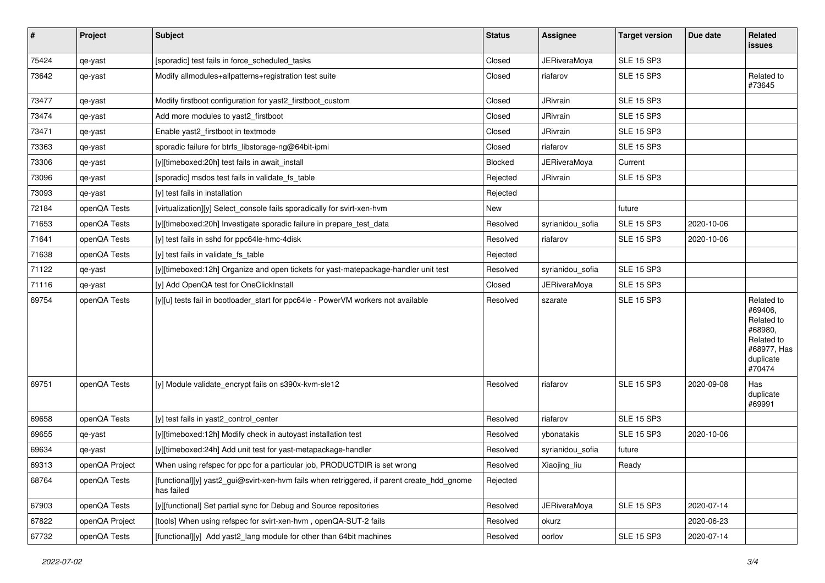| #     | Project        | Subject                                                                                                  | <b>Status</b> | Assignee            | <b>Target version</b> | Due date   | Related<br>issues                                                                                  |
|-------|----------------|----------------------------------------------------------------------------------------------------------|---------------|---------------------|-----------------------|------------|----------------------------------------------------------------------------------------------------|
| 75424 | qe-yast        | [sporadic] test fails in force_scheduled_tasks                                                           | Closed        | <b>JERiveraMoya</b> | <b>SLE 15 SP3</b>     |            |                                                                                                    |
| 73642 | qe-yast        | Modify allmodules+allpatterns+registration test suite                                                    | Closed        | riafarov            | <b>SLE 15 SP3</b>     |            | Related to<br>#73645                                                                               |
| 73477 | qe-yast        | Modify firstboot configuration for yast2_firstboot_custom                                                | Closed        | JRivrain            | <b>SLE 15 SP3</b>     |            |                                                                                                    |
| 73474 | qe-yast        | Add more modules to yast2 firstboot                                                                      | Closed        | <b>JRivrain</b>     | <b>SLE 15 SP3</b>     |            |                                                                                                    |
| 73471 | qe-yast        | Enable yast2_firstboot in textmode                                                                       | Closed        | <b>JRivrain</b>     | <b>SLE 15 SP3</b>     |            |                                                                                                    |
| 73363 | qe-yast        | sporadic failure for btrfs libstorage-ng@64bit-ipmi                                                      | Closed        | riafarov            | <b>SLE 15 SP3</b>     |            |                                                                                                    |
| 73306 | qe-yast        | [y][timeboxed:20h] test fails in await_install                                                           | Blocked       | JERiveraMoya        | Current               |            |                                                                                                    |
| 73096 | qe-yast        | [sporadic] msdos test fails in validate_fs_table                                                         | Rejected      | <b>JRivrain</b>     | <b>SLE 15 SP3</b>     |            |                                                                                                    |
| 73093 | qe-yast        | [y] test fails in installation                                                                           | Rejected      |                     |                       |            |                                                                                                    |
| 72184 | openQA Tests   | [virtualization][y] Select_console fails sporadically for svirt-xen-hvm                                  | New           |                     | future                |            |                                                                                                    |
| 71653 | openQA Tests   | [y][timeboxed:20h] Investigate sporadic failure in prepare test data                                     | Resolved      | syrianidou_sofia    | <b>SLE 15 SP3</b>     | 2020-10-06 |                                                                                                    |
| 71641 | openQA Tests   | [y] test fails in sshd for ppc64le-hmc-4disk                                                             | Resolved      | riafarov            | <b>SLE 15 SP3</b>     | 2020-10-06 |                                                                                                    |
| 71638 | openQA Tests   | [y] test fails in validate_fs_table                                                                      | Rejected      |                     |                       |            |                                                                                                    |
| 71122 | qe-yast        | [y][timeboxed:12h] Organize and open tickets for yast-matepackage-handler unit test                      | Resolved      | syrianidou_sofia    | <b>SLE 15 SP3</b>     |            |                                                                                                    |
| 71116 | qe-yast        | [y] Add OpenQA test for OneClickInstall                                                                  | Closed        | JERiveraMoya        | <b>SLE 15 SP3</b>     |            |                                                                                                    |
| 69754 | openQA Tests   | [y][u] tests fail in bootloader_start for ppc64le - PowerVM workers not available                        | Resolved      | szarate             | <b>SLE 15 SP3</b>     |            | Related to<br>#69406,<br>Related to<br>#68980,<br>Related to<br>#68977, Has<br>duplicate<br>#70474 |
| 69751 | openQA Tests   | [y] Module validate_encrypt fails on s390x-kvm-sle12                                                     | Resolved      | riafarov            | <b>SLE 15 SP3</b>     | 2020-09-08 | Has<br>duplicate<br>#69991                                                                         |
| 69658 | openQA Tests   | [y] test fails in yast2_control_center                                                                   | Resolved      | riafarov            | <b>SLE 15 SP3</b>     |            |                                                                                                    |
| 69655 | qe-yast        | [y][timeboxed:12h] Modify check in autoyast installation test                                            | Resolved      | ybonatakis          | <b>SLE 15 SP3</b>     | 2020-10-06 |                                                                                                    |
| 69634 | qe-yast        | [y][timeboxed:24h] Add unit test for yast-metapackage-handler                                            | Resolved      | syrianidou_sofia    | future                |            |                                                                                                    |
| 69313 | openQA Project | When using refspec for ppc for a particular job, PRODUCTDIR is set wrong                                 | Resolved      | Xiaojing_liu        | Ready                 |            |                                                                                                    |
| 68764 | openQA Tests   | [functional][y] yast2_gui@svirt-xen-hvm fails when retriggered, if parent create_hdd_gnome<br>has failed | Rejected      |                     |                       |            |                                                                                                    |
| 67903 | openQA Tests   | [y][functional] Set partial sync for Debug and Source repositories                                       | Resolved      | <b>JERiveraMoya</b> | <b>SLE 15 SP3</b>     | 2020-07-14 |                                                                                                    |
| 67822 | openQA Project | [tools] When using refspec for svirt-xen-hvm, openQA-SUT-2 fails                                         | Resolved      | okurz               |                       | 2020-06-23 |                                                                                                    |
| 67732 | openQA Tests   | [functional][y] Add yast2_lang module for other than 64bit machines                                      | Resolved      | oorlov              | <b>SLE 15 SP3</b>     | 2020-07-14 |                                                                                                    |